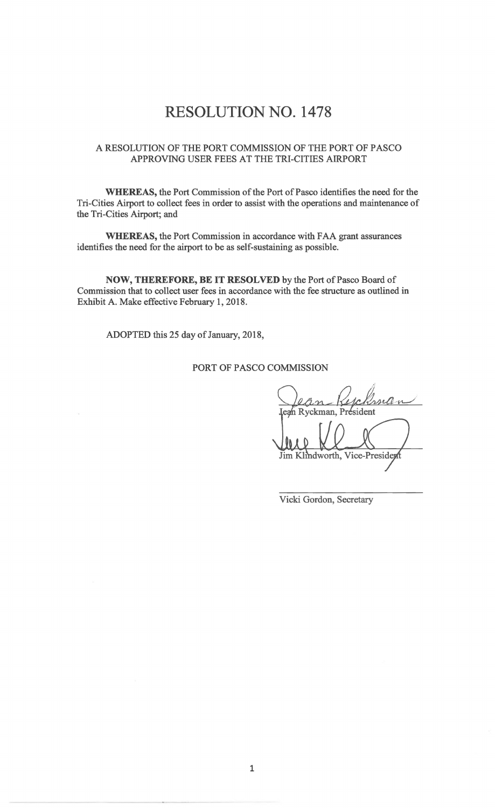# **RESOLUTION NO. 1478**

#### A RESOLUTION OF THE PORT COMMISSION OF THE PORT OF PASCO APPROVING USER FEES AT THE TRI-CITIES AIRPORT

**WHEREAS,** the Port Commission of the Port of Pasco identifies the need for the Tri-Cities Airport to collect fees in order to assist with the operations and maintenance of the Tri-Cities Airport; and

**WHEREAS,** the Port Commission in accordance with FAA grant assurances identifies the need for the airport to be as self-sustaining as possible.

**NOW, THEREFORE, BE IT RESOLVED** by the Port of Pasco Board of Commission that to collect user fees in accordance with the fee structure as outlined in Exhibit A. Make effective February 1, 2018.

ADOPTED this 25 day of January, 2018,

PORT OF PASCO COMMISSION

in an Ryckman, President Jim Klindworth, Vice-President

Vicki Gordon, Secretary